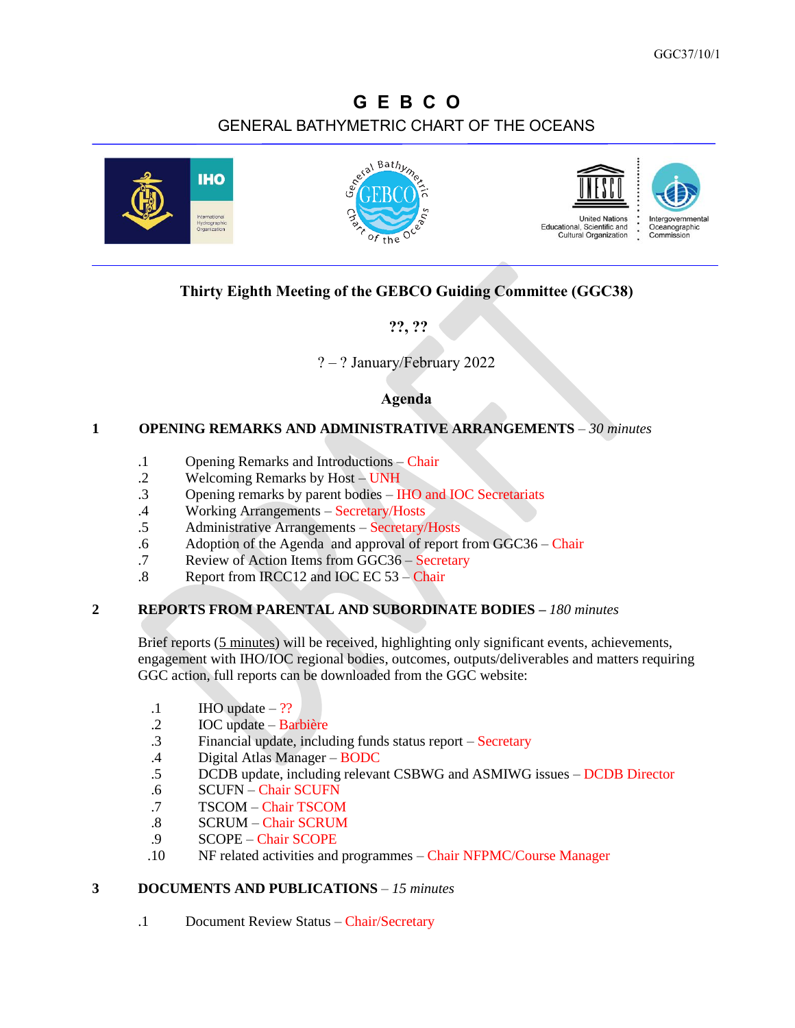# **G E B C O** GENERAL BATHYMETRIC CHART OF THE OCEANS



# **Thirty Eighth Meeting of the GEBCO Guiding Committee (GGC38)**

**??, ??**

# ? – ? January/February 2022

#### **Agenda**

#### **1 OPENING REMARKS AND ADMINISTRATIVE ARRANGEMENTS** – *30 minutes*

- .1 Opening Remarks and Introductions Chair
- .2 Welcoming Remarks by Host UNH
- .3 Opening remarks by parent bodies IHO and IOC Secretariats
- .4 Working Arrangements Secretary/Hosts
- .5 Administrative Arrangements Secretary/Hosts
- .6 Adoption of the Agenda and approval of report from GGC36 Chair
- .7 Review of Action Items from GGC36 Secretary
- .8 Report from IRCC12 and IOC EC 53 Chair

#### **2 REPORTS FROM PARENTAL AND SUBORDINATE BODIES –** *180 minutes*

Brief reports (5 minutes) will be received, highlighting only significant events, achievements, engagement with IHO/IOC regional bodies, outcomes, outputs/deliverables and matters requiring GGC action, full reports can be downloaded from the GGC website:

- $.1$  IHO update  $-$  ??
- .2 IOC update Barbière
- .3 Financial update, including funds status report Secretary
- .4 Digital Atlas Manager BODC
- .5 DCDB update, including relevant CSBWG and ASMIWG issues DCDB Director
- .6 SCUFN Chair SCUFN
- .7 TSCOM Chair TSCOM
- .8 SCRUM Chair SCRUM
- .9 SCOPE Chair SCOPE
- .10 NF related activities and programmes Chair NFPMC/Course Manager

# **3 DOCUMENTS AND PUBLICATIONS** – *15 minutes*

.1 Document Review Status – Chair/Secretary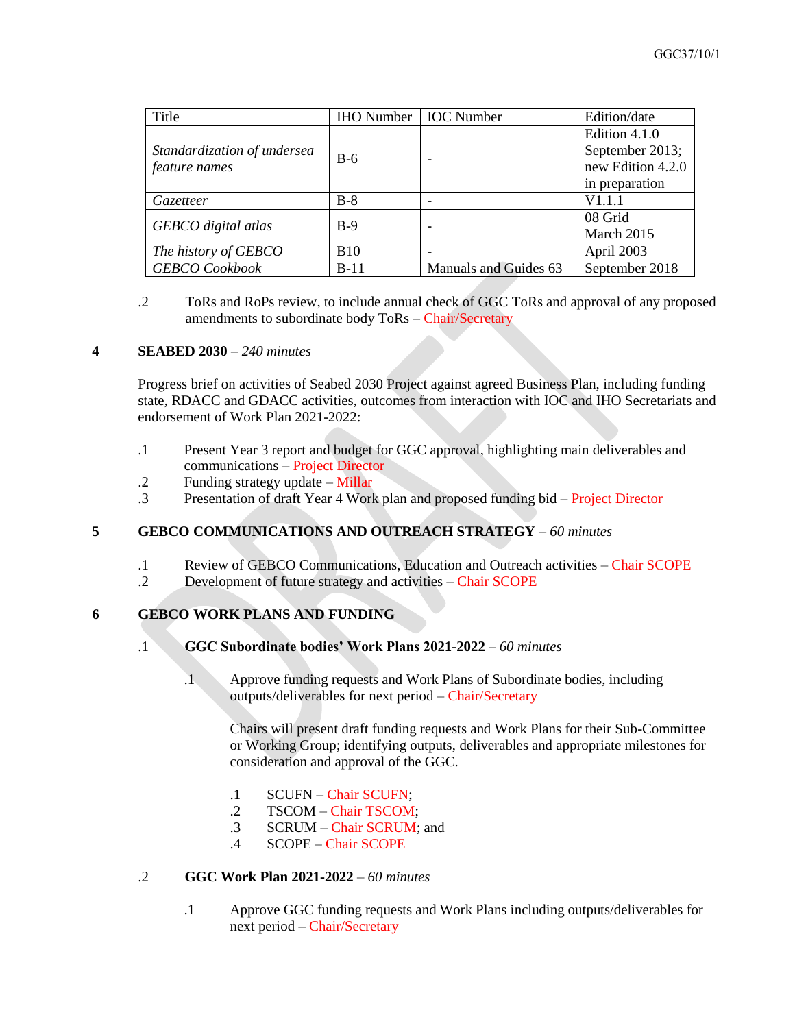| Title                                        | <b>IHO Number</b>   <b>IOC Number</b> |                       | Edition/date                                                            |
|----------------------------------------------|---------------------------------------|-----------------------|-------------------------------------------------------------------------|
| Standardization of undersea<br>feature names | $B-6$                                 |                       | Edition 4.1.0<br>September 2013;<br>new Edition 4.2.0<br>in preparation |
| Gazetteer                                    | $B-8$                                 |                       | V1.1.1                                                                  |
| GEBCO digital atlas                          | $B-9$                                 |                       | 08 Grid<br>March 2015                                                   |
| The history of GEBCO                         | <b>B</b> 10                           |                       | April 2003                                                              |
| <b>GEBCO</b> Cookbook                        | $B-11$                                | Manuals and Guides 63 | September 2018                                                          |

.2 ToRs and RoPs review, to include annual check of GGC ToRs and approval of any proposed amendments to subordinate body ToRs – Chair/Secretary

#### **4 SEABED 2030** – *240 minutes*

Progress brief on activities of Seabed 2030 Project against agreed Business Plan, including funding state, RDACC and GDACC activities, outcomes from interaction with IOC and IHO Secretariats and endorsement of Work Plan 2021-2022:

- .1 Present Year 3 report and budget for GGC approval, highlighting main deliverables and communications – Project Director
- .2 Funding strategy update Millar
- .3 Presentation of draft Year 4 Work plan and proposed funding bid Project Director

# **5 GEBCO COMMUNICATIONS AND OUTREACH STRATEGY** – *60 minutes*

- .1 Review of GEBCO Communications, Education and Outreach activities Chair SCOPE
- .2 Development of future strategy and activities Chair SCOPE

# **6 GEBCO WORK PLANS AND FUNDING**

- .1 **GGC Subordinate bodies' Work Plans 2021-2022** *60 minutes*
	- .1 Approve funding requests and Work Plans of Subordinate bodies, including outputs/deliverables for next period – Chair/Secretary

Chairs will present draft funding requests and Work Plans for their Sub-Committee or Working Group; identifying outputs, deliverables and appropriate milestones for consideration and approval of the GGC.

- .1 SCUFN Chair SCUFN;
- .2 TSCOM Chair TSCOM;
- .3 SCRUM Chair SCRUM; and
- .4 SCOPE Chair SCOPE

#### .2 **GGC Work Plan 2021-2022** – *60 minutes*

.1 Approve GGC funding requests and Work Plans including outputs/deliverables for next period – Chair/Secretary